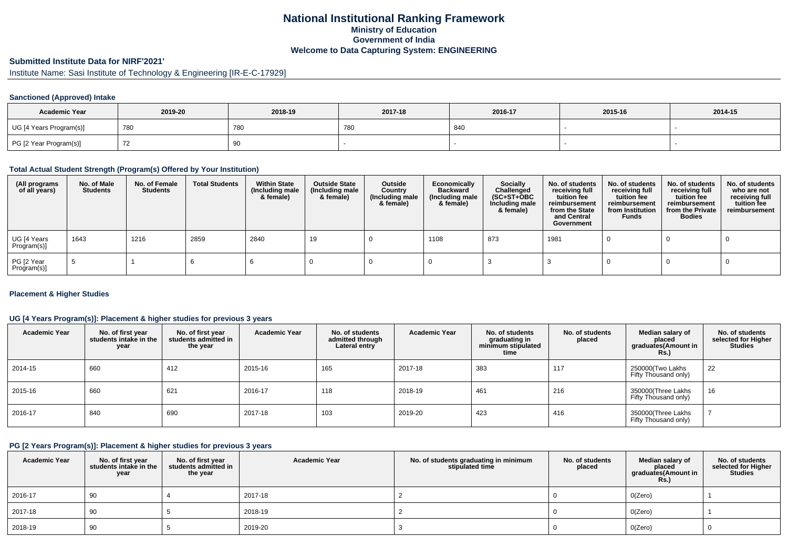# **National Institutional Ranking FrameworkMinistry of Education Government of IndiaWelcome to Data Capturing System: ENGINEERING**

# **Submitted Institute Data for NIRF'2021'**

Institute Name: Sasi Institute of Technology & Engineering [IR-E-C-17929]

#### **Sanctioned (Approved) Intake**

| <b>Academic Year</b>    | 2019-20 | 2018-19    | 2017-18 | 2016-17 | 2015-16 | 2014-15 |
|-------------------------|---------|------------|---------|---------|---------|---------|
| UG [4 Years Program(s)] | 780     | <b>780</b> | 780     | 840     |         |         |
| PG [2 Year Program(s)]  |         | 90         |         |         |         |         |

#### **Total Actual Student Strength (Program(s) Offered by Your Institution)**

| (All programs<br>of all years) | No. of Male<br><b>Students</b> | No. of Female<br>Students | <b>Total Students</b> | <b>Within State</b><br>(Including male<br>& female) | <b>Outside State</b><br>(Including male<br>& female) | Outside<br>Country<br>(Including male<br>& female) | Economically<br><b>Backward</b><br>(Including male<br>& female) | <b>Socially</b><br>Challenged<br>$(SC+ST+OBC)$<br>Including male<br>& female) | No. of students<br>receiving full<br>tuition fee<br>reimbursement<br>from the State<br>and Central<br>Government | No. of students<br>receiving full<br>tuition fee<br>reimbursement<br>from Institution<br><b>Funds</b> | No. of students<br>receiving full<br>tuition fee<br>reimbursement<br>from the Private<br><b>Bodies</b> | No. of students<br>who are not<br>receiving full<br>tuition fee<br>reimbursement |
|--------------------------------|--------------------------------|---------------------------|-----------------------|-----------------------------------------------------|------------------------------------------------------|----------------------------------------------------|-----------------------------------------------------------------|-------------------------------------------------------------------------------|------------------------------------------------------------------------------------------------------------------|-------------------------------------------------------------------------------------------------------|--------------------------------------------------------------------------------------------------------|----------------------------------------------------------------------------------|
| UG [4 Years<br>Program(s)]     | 1643                           | 1216                      | 2859                  | 2840                                                | 19                                                   |                                                    | 1108                                                            | 873                                                                           | 1981                                                                                                             |                                                                                                       |                                                                                                        |                                                                                  |
| PG [2 Year<br>Program(s)]      |                                |                           |                       |                                                     |                                                      |                                                    |                                                                 |                                                                               |                                                                                                                  |                                                                                                       |                                                                                                        |                                                                                  |

#### **Placement & Higher Studies**

#### **UG [4 Years Program(s)]: Placement & higher studies for previous 3 years**

| <b>Academic Year</b> | No. of first year<br>students intake in the<br>year | No. of first vear<br>students admitted in<br>the year | <b>Academic Year</b> | No. of students<br>admitted through<br>Lateral entry | <b>Academic Year</b> | No. of students<br>graduating in<br>minimum stipulated<br>time | No. of students<br>placed | Median salary of<br>placed<br>graduates(Amount in<br><b>Rs.</b> ) | No. of students<br>selected for Higher<br><b>Studies</b> |
|----------------------|-----------------------------------------------------|-------------------------------------------------------|----------------------|------------------------------------------------------|----------------------|----------------------------------------------------------------|---------------------------|-------------------------------------------------------------------|----------------------------------------------------------|
| 2014-15              | 660                                                 | 412                                                   | 2015-16              | 165                                                  | 2017-18              | 383                                                            | 117                       | 250000(Two Lakhs<br>Fifty Thousand only)                          | 22                                                       |
| 2015-16              | 660                                                 | 621                                                   | 2016-17              | 118                                                  | 2018-19              | 461                                                            | 216                       | 350000(Three Lakhs<br>Fifty Thousand only)                        | 16                                                       |
| 2016-17              | 840                                                 | 690                                                   | 2017-18              | 103                                                  | 2019-20              | 423                                                            | 416                       | 350000(Three Lakhs<br>Fifty Thousand only)                        |                                                          |

#### **PG [2 Years Program(s)]: Placement & higher studies for previous 3 years**

| <b>Academic Year</b> | No. of first year<br>students intake in the<br>year | No. of first vear<br>students admitted in<br>the year | <b>Academic Year</b> | No. of students graduating in minimum<br>stipulated time | No. of students<br>placed | Median salary of<br>placed<br>graduates(Amount in<br><b>Rs.)</b> | No. of students<br>selected for Higher<br><b>Studies</b> |
|----------------------|-----------------------------------------------------|-------------------------------------------------------|----------------------|----------------------------------------------------------|---------------------------|------------------------------------------------------------------|----------------------------------------------------------|
| 2016-17              | 90                                                  |                                                       | 2017-18              |                                                          |                           | O(Zero)                                                          |                                                          |
| 2017-18              | 90                                                  |                                                       | 2018-19              |                                                          |                           | O(Zero)                                                          |                                                          |
| 2018-19              | 90                                                  |                                                       | 2019-20              |                                                          |                           | O(Zero)                                                          |                                                          |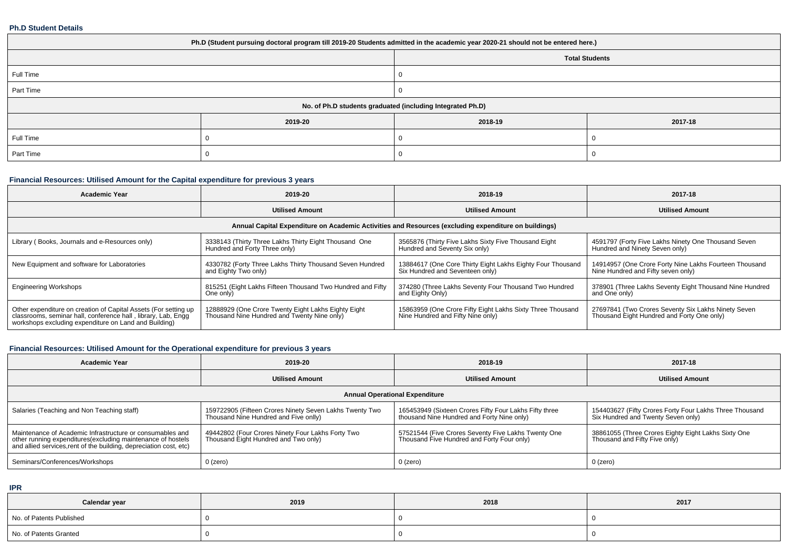#### **Ph.D Student Details**

| Ph.D (Student pursuing doctoral program till 2019-20 Students admitted in the academic year 2020-21 should not be entered here.) |         |                                                            |         |  |  |  |  |
|----------------------------------------------------------------------------------------------------------------------------------|---------|------------------------------------------------------------|---------|--|--|--|--|
| <b>Total Students</b>                                                                                                            |         |                                                            |         |  |  |  |  |
| Full Time                                                                                                                        |         |                                                            |         |  |  |  |  |
| Part Time                                                                                                                        |         |                                                            |         |  |  |  |  |
|                                                                                                                                  |         | No. of Ph.D students graduated (including Integrated Ph.D) |         |  |  |  |  |
|                                                                                                                                  | 2019-20 | 2018-19                                                    | 2017-18 |  |  |  |  |
| Full Time                                                                                                                        |         |                                                            |         |  |  |  |  |
| Part Time                                                                                                                        |         |                                                            |         |  |  |  |  |

## **Financial Resources: Utilised Amount for the Capital expenditure for previous 3 years**

| <b>Academic Year</b>                                                                                                                                                                      | 2019-20                                                                                            | 2018-19                                                                                         | 2017-18                                                                                           |  |  |  |  |  |
|-------------------------------------------------------------------------------------------------------------------------------------------------------------------------------------------|----------------------------------------------------------------------------------------------------|-------------------------------------------------------------------------------------------------|---------------------------------------------------------------------------------------------------|--|--|--|--|--|
|                                                                                                                                                                                           | <b>Utilised Amount</b>                                                                             | <b>Utilised Amount</b>                                                                          | <b>Utilised Amount</b>                                                                            |  |  |  |  |  |
| Annual Capital Expenditure on Academic Activities and Resources (excluding expenditure on buildings)                                                                                      |                                                                                                    |                                                                                                 |                                                                                                   |  |  |  |  |  |
| Library (Books, Journals and e-Resources only)                                                                                                                                            | 3338143 (Thirty Three Lakhs Thirty Eight Thousand One<br>Hundred and Forty Three only)             | 3565876 (Thirty Five Lakhs Sixty Five Thousand Eight<br>Hundred and Seventy Six only)           | 4591797 (Forty Five Lakhs Ninety One Thousand Seven<br>Hundred and Ninety Seven only)             |  |  |  |  |  |
| New Equipment and software for Laboratories                                                                                                                                               | 4330782 (Forty Three Lakhs Thirty Thousand Seven Hundred<br>and Eighty Two only)                   | 13884617 (One Core Thirty Eight Lakhs Eighty Four Thousand<br>Six Hundred and Seventeen only)   | 14914957 (One Crore Forty Nine Lakhs Fourteen Thousand<br>Nine Hundred and Fifty seven only)      |  |  |  |  |  |
| <b>Engineering Workshops</b>                                                                                                                                                              | 815251 (Eight Lakhs Fifteen Thousand Two Hundred and Fifty<br>One only)                            | 374280 (Three Lakhs Seventy Four Thousand Two Hundred<br>and Eighty Only)                       | 378901 (Three Lakhs Seventy Eight Thousand Nine Hundred<br>and One only)                          |  |  |  |  |  |
| Other expenditure on creation of Capital Assets (For setting up<br>classrooms, seminar hall, conference hall, library, Lab, Engg<br>workshops excluding expenditure on Land and Building) | 12888929 (One Crore Twenty Eight Lakhs Eighty Eight<br>Thousand Nine Hundred and Twenty Nine only) | 15863959 (One Crore Fifty Eight Lakhs Sixty Three Thousand<br>Nine Hundred and Fifty Nine only) | 27697841 (Two Crores Seventy Six Lakhs Ninety Seven<br>Thousand Eight Hundred and Forty One only) |  |  |  |  |  |

## **Financial Resources: Utilised Amount for the Operational expenditure for previous 3 years**

| <b>Academic Year</b>                                                                                                                                                                            | 2019-20                                                                                          | 2018-19                                                                                              | 2017-18                                                                                       |  |  |  |  |  |  |
|-------------------------------------------------------------------------------------------------------------------------------------------------------------------------------------------------|--------------------------------------------------------------------------------------------------|------------------------------------------------------------------------------------------------------|-----------------------------------------------------------------------------------------------|--|--|--|--|--|--|
|                                                                                                                                                                                                 | <b>Utilised Amount</b>                                                                           | <b>Utilised Amount</b>                                                                               | <b>Utilised Amount</b>                                                                        |  |  |  |  |  |  |
| <b>Annual Operational Expenditure</b>                                                                                                                                                           |                                                                                                  |                                                                                                      |                                                                                               |  |  |  |  |  |  |
| Salaries (Teaching and Non Teaching staff)                                                                                                                                                      | 159722905 (Fifteen Crores Ninety Seven Lakhs Twenty Two<br>Thousand Nine Hundred and Five onlly) | 165453949 (Sixteen Crores Fifty Four Lakhs Fifty three<br>thousand Nine Hundred and Forty Nine only) | 154403627 (Fifty Crores Forty Four Lakhs Three Thousand<br>Six Hundred and Twenty Seven only) |  |  |  |  |  |  |
| Maintenance of Academic Infrastructure or consumables and<br>other running expenditures (excluding maintenance of hostels<br>and allied services, rent of the building, depreciation cost, etc) | 49442802 (Four Crores Ninety Four Lakhs Forty Two<br>Thousand Eight Hundred and Two only)        | 57521544 (Five Crores Seventy Five Lakhs Twenty One<br>Thousand Five Hundred and Forty Four only)    | 38861055 (Three Crores Eighty Eight Lakhs Sixty One<br>Thousand and Fifty Five only)          |  |  |  |  |  |  |
| Seminars/Conferences/Workshops                                                                                                                                                                  | $0$ (zero)                                                                                       | $0$ (zero)                                                                                           | 0 (zero)                                                                                      |  |  |  |  |  |  |

**IPR**

| Calendar year            | 2019 | 2018 | 2017 |
|--------------------------|------|------|------|
| No. of Patents Published |      |      |      |
| No. of Patents Granted   |      |      |      |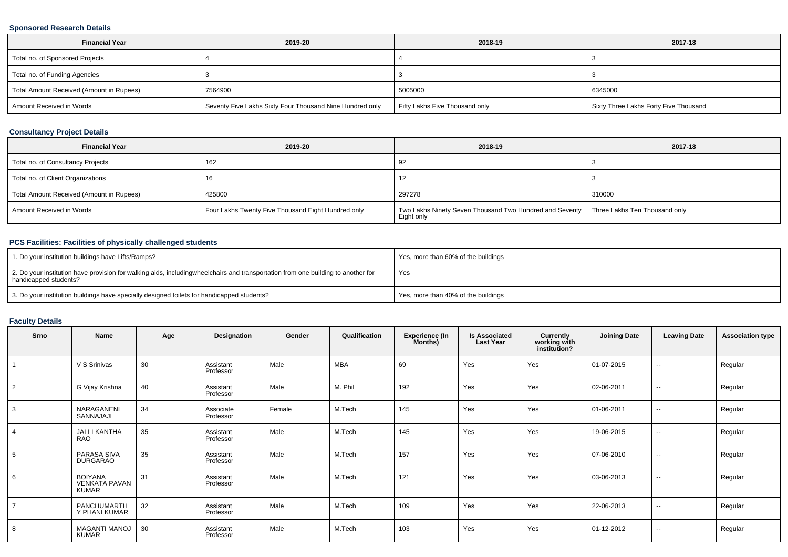#### **Sponsored Research Details**

| <b>Financial Year</b>                    | 2019-20                                                  | 2018-19                        | 2017-18                               |
|------------------------------------------|----------------------------------------------------------|--------------------------------|---------------------------------------|
| Total no. of Sponsored Projects          |                                                          |                                |                                       |
| Total no. of Funding Agencies            |                                                          |                                |                                       |
| Total Amount Received (Amount in Rupees) | 7564900                                                  | 5005000                        | 6345000                               |
| Amount Received in Words                 | Seventy Five Lakhs Sixty Four Thousand Nine Hundred only | Fifty Lakhs Five Thousand only | Sixty Three Lakhs Forty Five Thousand |

### **Consultancy Project Details**

| <b>Financial Year</b>                    | 2019-20                                            | 2018-19                                                                                               | 2017-18 |
|------------------------------------------|----------------------------------------------------|-------------------------------------------------------------------------------------------------------|---------|
| Total no. of Consultancy Projects        | 162                                                | 92                                                                                                    |         |
| Total no. of Client Organizations        | 16                                                 | 12                                                                                                    |         |
| Total Amount Received (Amount in Rupees) | 425800                                             | 297278                                                                                                | 310000  |
| Amount Received in Words                 | Four Lakhs Twenty Five Thousand Eight Hundred only | Two Lakhs Ninety Seven Thousand Two Hundred and Seventy   Three Lakhs Ten Thousand only<br>Eight only |         |

## **PCS Facilities: Facilities of physically challenged students**

| 1. Do your institution buildings have Lifts/Ramps?                                                                                                        | Yes, more than 60% of the buildings |
|-----------------------------------------------------------------------------------------------------------------------------------------------------------|-------------------------------------|
| 2. Do your institution have provision for walking aids, includingwheelchairs and transportation from one building to another for<br>handicapped students? | Yes                                 |
| 3. Do your institution buildings have specially designed toilets for handicapped students?                                                                | Yes, more than 40% of the buildings |

### **Faculty Details**

| Srno           | <b>Name</b>                                     | Age | Designation            | Gender | Qualification | <b>Experience (In</b><br>Months) | <b>Is Associated</b><br><b>Last Year</b> | Currently<br>working with<br>institution? | <b>Joining Date</b> | <b>Leaving Date</b>      | <b>Association type</b> |
|----------------|-------------------------------------------------|-----|------------------------|--------|---------------|----------------------------------|------------------------------------------|-------------------------------------------|---------------------|--------------------------|-------------------------|
|                | V S Srinivas                                    | 30  | Assistant<br>Professor | Male   | <b>MBA</b>    | 69                               | Yes                                      | Yes                                       | 01-07-2015          | $\sim$                   | Regular                 |
| 2              | G Vijay Krishna                                 | 40  | Assistant<br>Professor | Male   | M. Phil       | 192                              | Yes                                      | Yes                                       | 02-06-2011          | $\sim$                   | Regular                 |
| 3              | NARAGANENI<br>SANNAJAJI                         | 34  | Associate<br>Professor | Female | M.Tech        | 145                              | Yes                                      | Yes                                       | 01-06-2011          | $\overline{\phantom{a}}$ | Regular                 |
| $\overline{4}$ | <b>JALLI KANTHA</b><br><b>RAO</b>               | 35  | Assistant<br>Professor | Male   | M.Tech        | 145                              | Yes                                      | Yes                                       | 19-06-2015          | $\sim$                   | Regular                 |
| 5              | PARASA SIVA<br>DURGARAO                         | 35  | Assistant<br>Professor | Male   | M.Tech        | 157                              | Yes                                      | Yes                                       | 07-06-2010          | $\sim$                   | Regular                 |
| 6              | <b>BOIYANA</b><br><b>VENKATA PAVAN</b><br>KUMAR | 31  | Assistant<br>Professor | Male   | M.Tech        | 121                              | Yes                                      | Yes                                       | 03-06-2013          | $\sim$                   | Regular                 |
| $\overline{7}$ | PANCHUMARTH<br>Y PHANI KUMAR                    | 32  | Assistant<br>Professor | Male   | M.Tech        | 109                              | Yes                                      | Yes                                       | 22-06-2013          | $\sim$                   | Regular                 |
| 8              | <b>MAGANTI MANOJ</b><br>KUMAR                   | 30  | Assistant<br>Professor | Male   | M.Tech        | 103                              | Yes                                      | Yes                                       | 01-12-2012          | $- -$                    | Regular                 |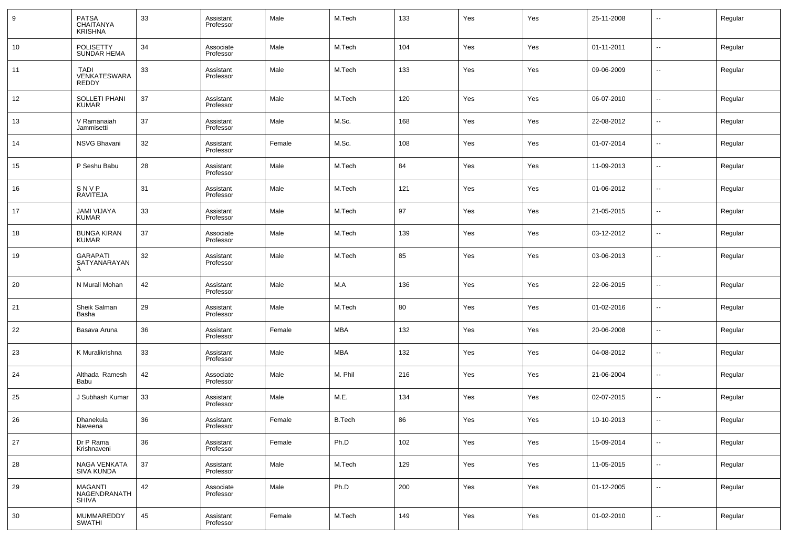| 9  | <b>PATSA</b><br><b>CHAITANYA</b><br><b>KRISHNA</b> | 33 | Assistant<br>Professor | Male   | M.Tech        | 133 | Yes | Yes | 25-11-2008 | $\overline{\phantom{a}}$ | Regular |
|----|----------------------------------------------------|----|------------------------|--------|---------------|-----|-----|-----|------------|--------------------------|---------|
| 10 | <b>POLISETTY</b><br><b>SUNDAR HEMA</b>             | 34 | Associate<br>Professor | Male   | M.Tech        | 104 | Yes | Yes | 01-11-2011 | --                       | Regular |
| 11 | TADI<br>VENKATESWARA<br>REDDY                      | 33 | Assistant<br>Professor | Male   | M.Tech        | 133 | Yes | Yes | 09-06-2009 | $\sim$                   | Regular |
| 12 | <b>SOLLETI PHANI</b><br><b>KUMAR</b>               | 37 | Assistant<br>Professor | Male   | M.Tech        | 120 | Yes | Yes | 06-07-2010 | $\overline{\phantom{a}}$ | Regular |
| 13 | V Ramanaiah<br>Jammisetti                          | 37 | Assistant<br>Professor | Male   | M.Sc.         | 168 | Yes | Yes | 22-08-2012 | $\sim$                   | Regular |
| 14 | <b>NSVG Bhavani</b>                                | 32 | Assistant<br>Professor | Female | M.Sc.         | 108 | Yes | Yes | 01-07-2014 | $\overline{\phantom{a}}$ | Regular |
| 15 | P Seshu Babu                                       | 28 | Assistant<br>Professor | Male   | M.Tech        | 84  | Yes | Yes | 11-09-2013 | $\sim$                   | Regular |
| 16 | SNVP<br><b>RAVITEJA</b>                            | 31 | Assistant<br>Professor | Male   | M.Tech        | 121 | Yes | Yes | 01-06-2012 | $\sim$                   | Regular |
| 17 | <b>JAMI VIJAYA</b><br><b>KUMAR</b>                 | 33 | Assistant<br>Professor | Male   | M.Tech        | 97  | Yes | Yes | 21-05-2015 | $\overline{\phantom{a}}$ | Regular |
| 18 | <b>BUNGA KIRAN</b><br><b>KUMAR</b>                 | 37 | Associate<br>Professor | Male   | M.Tech        | 139 | Yes | Yes | 03-12-2012 | $\sim$                   | Regular |
| 19 | <b>GARAPATI</b><br>SATYANARAYAN<br>A               | 32 | Assistant<br>Professor | Male   | M.Tech        | 85  | Yes | Yes | 03-06-2013 | $\sim$                   | Regular |
| 20 | N Murali Mohan                                     | 42 | Assistant<br>Professor | Male   | M.A           | 136 | Yes | Yes | 22-06-2015 | $\sim$                   | Regular |
| 21 | Sheik Salman<br>Basha                              | 29 | Assistant<br>Professor | Male   | M.Tech        | 80  | Yes | Yes | 01-02-2016 | $\sim$                   | Regular |
| 22 | Basava Aruna                                       | 36 | Assistant<br>Professor | Female | <b>MBA</b>    | 132 | Yes | Yes | 20-06-2008 | $\overline{\phantom{a}}$ | Regular |
| 23 | K Muralikrishna                                    | 33 | Assistant<br>Professor | Male   | <b>MBA</b>    | 132 | Yes | Yes | 04-08-2012 | $\sim$                   | Regular |
| 24 | Althada Ramesh<br>Babu                             | 42 | Associate<br>Professor | Male   | M. Phil       | 216 | Yes | Yes | 21-06-2004 | $\sim$                   | Regular |
| 25 | J Subhash Kumar                                    | 33 | Assistant<br>Professor | Male   | M.E.          | 134 | Yes | Yes | 02-07-2015 | $\sim$                   | Regular |
| 26 | Dhanekula<br>Naveena                               | 36 | Assistant<br>Professor | Female | <b>B.Tech</b> | 86  | Yes | Yes | 10-10-2013 | $\sim$                   | Regular |
| 27 | Dr P Rama<br>Krishnaveni                           | 36 | Assistant<br>Professor | Female | Ph.D          | 102 | Yes | Yes | 15-09-2014 | $\overline{\phantom{a}}$ | Regular |
| 28 | NAGA VENKATA<br><b>SIVA KUNDA</b>                  | 37 | Assistant<br>Professor | Male   | M.Tech        | 129 | Yes | Yes | 11-05-2015 | $\sim$                   | Regular |
| 29 | <b>MAGANTI</b><br>NAGENDRANATH<br><b>SHIVA</b>     | 42 | Associate<br>Professor | Male   | Ph.D          | 200 | Yes | Yes | 01-12-2005 | $\overline{\phantom{a}}$ | Regular |
| 30 | MUMMAREDDY<br>SWATHI                               | 45 | Assistant<br>Professor | Female | M.Tech        | 149 | Yes | Yes | 01-02-2010 | $\overline{\phantom{a}}$ | Regular |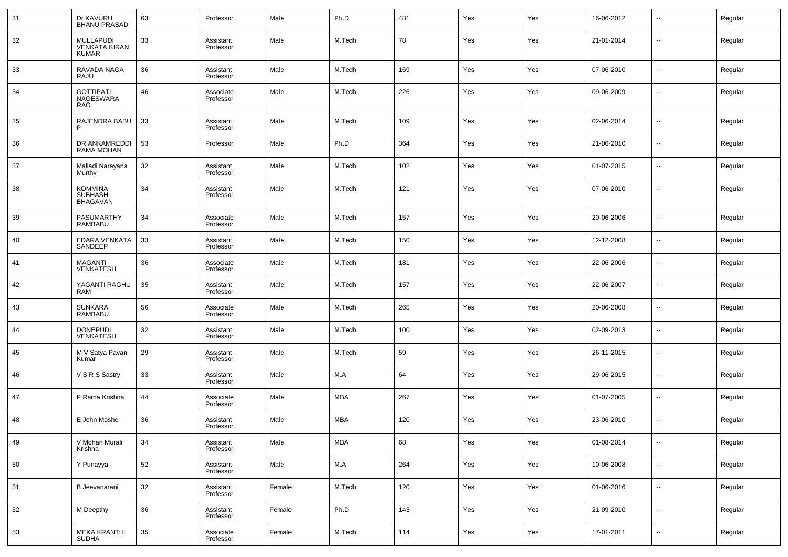| 31 | Dr KAVURU<br>BHANU PRASAD                  | 63 | Professor              | Male   | Ph.D       | 481 | Yes | Yes | 16-06-2012 | $\sim$                   | Regular |
|----|--------------------------------------------|----|------------------------|--------|------------|-----|-----|-----|------------|--------------------------|---------|
| 32 | MULLAPUDI<br>VENKATA KIRAN<br><b>KUMAR</b> | 33 | Assistant<br>Professor | Male   | M.Tech     | 78  | Yes | Yes | 21-01-2014 | $\sim$                   | Regular |
| 33 | RAVADA NAGA<br>RAJU                        | 36 | Assistant<br>Professor | Male   | M.Tech     | 169 | Yes | Yes | 07-06-2010 | ш,                       | Regular |
| 34 | <b>GOTTIPATI</b><br>NAGESWARA<br>RAO       | 46 | Associate<br>Professor | Male   | M.Tech     | 226 | Yes | Yes | 09-06-2009 | ш,                       | Regular |
| 35 | RAJENDRA BABU<br>P                         | 33 | Assistant<br>Professor | Male   | M.Tech     | 109 | Yes | Yes | 02-06-2014 | --                       | Regular |
| 36 | DR ANKAMREDDI<br>RAMA MOHAN                | 53 | Professor              | Male   | Ph.D       | 364 | Yes | Yes | 21-06-2010 | --                       | Regular |
| 37 | Malladi Narayana<br>Murthy                 | 32 | Assistant<br>Professor | Male   | M.Tech     | 102 | Yes | Yes | 01-07-2015 | --                       | Regular |
| 38 | KOMMINA<br>SUBHASH<br>BHAGAVAN             | 34 | Assistant<br>Professor | Male   | M.Tech     | 121 | Yes | Yes | 07-06-2010 | --                       | Regular |
| 39 | PASUMARTHY<br>RAMBABU                      | 34 | Associate<br>Professor | Male   | M.Tech     | 157 | Yes | Yes | 20-06-2006 | --                       | Regular |
| 40 | EDARA VENKATA<br>SANDEEP                   | 33 | Assistant<br>Professor | Male   | M.Tech     | 150 | Yes | Yes | 12-12-2008 | $\sim$                   | Regular |
| 41 | <b>MAGANTI</b><br><b>VENKATESH</b>         | 36 | Associate<br>Professor | Male   | M.Tech     | 181 | Yes | Yes | 22-06-2006 | $\sim$                   | Regular |
| 42 | YAGANTI RAGHU<br><b>RAM</b>                | 35 | Assistant<br>Professor | Male   | M.Tech     | 157 | Yes | Yes | 22-06-2007 | $\sim$                   | Regular |
| 43 | <b>SUNKARA</b><br><b>RAMBABU</b>           | 56 | Associate<br>Professor | Male   | M.Tech     | 265 | Yes | Yes | 20-06-2008 | $\sim$                   | Regular |
| 44 | <b>DONEPUDI</b><br><b>VENKATESH</b>        | 32 | Assistant<br>Professor | Male   | M.Tech     | 100 | Yes | Yes | 02-09-2013 | $\sim$                   | Regular |
| 45 | M V Satya Pavan<br>Kumar                   | 29 | Assistant<br>Professor | Male   | M.Tech     | 59  | Yes | Yes | 26-11-2015 | $\sim$                   | Regular |
| 46 | V S R S Sastry                             | 33 | Assistant<br>Professor | Male   | M.A        | 64  | Yes | Yes | 29-06-2015 | $\overline{\phantom{a}}$ | Regular |
| 47 | P Rama Krishna                             | 44 | Associate<br>Professor | Male   | MBA        | 267 | Yes | Yes | 01-07-2005 | $\sim$                   | Regular |
| 48 | E John Moshe                               | 36 | Assistant<br>Professor | Male   | <b>MBA</b> | 120 | Yes | Yes | 23-06-2010 | --                       | Regular |
| 49 | V Mohan Murali<br>Krishna                  | 34 | Assistant<br>Professor | Male   | <b>MBA</b> | 68  | Yes | Yes | 01-08-2014 | --                       | Regular |
| 50 | Y Punayya                                  | 52 | Assistant<br>Professor | Male   | M.A        | 264 | Yes | Yes | 10-06-2008 | $\sim$                   | Regular |
| 51 | B Jeevanarani                              | 32 | Assistant<br>Professor | Female | M.Tech     | 120 | Yes | Yes | 01-06-2016 | $\sim$                   | Regular |
| 52 | M Deepthy                                  | 36 | Assistant<br>Professor | Female | Ph.D       | 143 | Yes | Yes | 21-09-2010 | $\sim$                   | Regular |
| 53 | <b>MEKA KRANTHI</b><br><b>SUDHA</b>        | 35 | Associate<br>Professor | Female | M.Tech     | 114 | Yes | Yes | 17-01-2011 | $\sim$                   | Regular |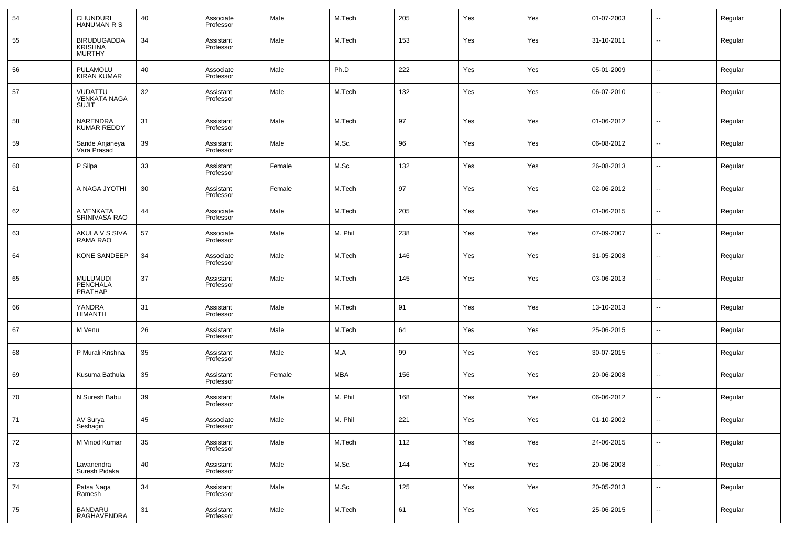| 54 | CHUNDURI<br><b>HANUMAN R S</b>                 | 40 | Associate<br>Professor | Male   | M.Tech     | 205 | Yes | Yes | 01-07-2003 | $\overline{\phantom{a}}$ | Regular |
|----|------------------------------------------------|----|------------------------|--------|------------|-----|-----|-----|------------|--------------------------|---------|
| 55 | <b>BIRUDUGADDA</b><br><b>KRISHNA</b><br>MURTHY | 34 | Assistant<br>Professor | Male   | M.Tech     | 153 | Yes | Yes | 31-10-2011 | $\overline{\phantom{a}}$ | Regular |
| 56 | PULAMOLU<br><b>KIRAN KUMAR</b>                 | 40 | Associate<br>Professor | Male   | Ph.D       | 222 | Yes | Yes | 05-01-2009 | $\overline{\phantom{a}}$ | Regular |
| 57 | VUDATTU<br><b>VENKATA NAGA</b><br><b>SUJIT</b> | 32 | Assistant<br>Professor | Male   | M.Tech     | 132 | Yes | Yes | 06-07-2010 | $\overline{\phantom{a}}$ | Regular |
| 58 | NARENDRA<br><b>KUMAR REDDY</b>                 | 31 | Assistant<br>Professor | Male   | M.Tech     | 97  | Yes | Yes | 01-06-2012 | $\overline{\phantom{a}}$ | Regular |
| 59 | Saride Anjaneya<br>Vara Prasad                 | 39 | Assistant<br>Professor | Male   | M.Sc.      | 96  | Yes | Yes | 06-08-2012 | $\overline{\phantom{a}}$ | Regular |
| 60 | P Silpa                                        | 33 | Assistant<br>Professor | Female | M.Sc.      | 132 | Yes | Yes | 26-08-2013 | $\overline{\phantom{a}}$ | Regular |
| 61 | A NAGA JYOTHI                                  | 30 | Assistant<br>Professor | Female | M.Tech     | 97  | Yes | Yes | 02-06-2012 | $\overline{\phantom{a}}$ | Regular |
| 62 | A VENKATA<br>SRINIVASA RAO                     | 44 | Associate<br>Professor | Male   | M.Tech     | 205 | Yes | Yes | 01-06-2015 | $\sim$                   | Regular |
| 63 | AKULA V S SIVA<br>RAMA RAO                     | 57 | Associate<br>Professor | Male   | M. Phil    | 238 | Yes | Yes | 07-09-2007 | $\overline{\phantom{a}}$ | Regular |
| 64 | <b>KONE SANDEEP</b>                            | 34 | Associate<br>Professor | Male   | M.Tech     | 146 | Yes | Yes | 31-05-2008 | $\sim$                   | Regular |
| 65 | <b>MULUMUDI</b><br>PENCHALA<br><b>PRATHAP</b>  | 37 | Assistant<br>Professor | Male   | M.Tech     | 145 | Yes | Yes | 03-06-2013 | $\overline{\phantom{a}}$ | Regular |
| 66 | YANDRA<br><b>HIMANTH</b>                       | 31 | Assistant<br>Professor | Male   | M.Tech     | 91  | Yes | Yes | 13-10-2013 | $\overline{\phantom{a}}$ | Regular |
| 67 | M Venu                                         | 26 | Assistant<br>Professor | Male   | M.Tech     | 64  | Yes | Yes | 25-06-2015 | $\overline{\phantom{a}}$ | Regular |
| 68 | P Murali Krishna                               | 35 | Assistant<br>Professor | Male   | M.A        | 99  | Yes | Yes | 30-07-2015 | $\overline{\phantom{a}}$ | Regular |
| 69 | Kusuma Bathula                                 | 35 | Assistant<br>Professor | Female | <b>MBA</b> | 156 | Yes | Yes | 20-06-2008 | $\overline{\phantom{a}}$ | Regular |
| 70 | N Suresh Babu                                  | 39 | Assistant<br>Professor | Male   | M. Phil    | 168 | Yes | Yes | 06-06-2012 | $\overline{\phantom{a}}$ | Regular |
| 71 | AV Surya<br>Seshagiri                          | 45 | Associate<br>Professor | Male   | M. Phil    | 221 | Yes | Yes | 01-10-2002 | $\sim$                   | Regular |
| 72 | M Vinod Kumar                                  | 35 | Assistant<br>Professor | Male   | M.Tech     | 112 | Yes | Yes | 24-06-2015 | $\sim$                   | Regular |
| 73 | Lavanendra<br>Suresh Pidaka                    | 40 | Assistant<br>Professor | Male   | M.Sc.      | 144 | Yes | Yes | 20-06-2008 | $\overline{\phantom{a}}$ | Regular |
| 74 | Patsa Naga<br>Ramesh                           | 34 | Assistant<br>Professor | Male   | M.Sc.      | 125 | Yes | Yes | 20-05-2013 | $\sim$                   | Regular |
| 75 | <b>BANDARU</b><br>RAGHAVENDRA                  | 31 | Assistant<br>Professor | Male   | M.Tech     | 61  | Yes | Yes | 25-06-2015 | $\overline{\phantom{a}}$ | Regular |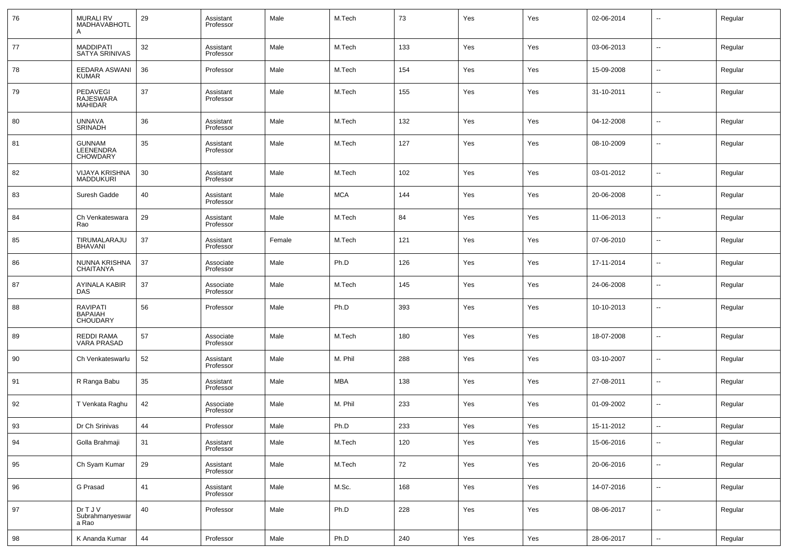| 76 | <b>MURALI RV</b><br>MADHAVABHOTL<br>A                | 29 | Assistant<br>Professor | Male   | M.Tech     | 73  | Yes | Yes | 02-06-2014 | --                       | Regular |
|----|------------------------------------------------------|----|------------------------|--------|------------|-----|-----|-----|------------|--------------------------|---------|
| 77 | <b>MADDIPATI</b><br>SATYA SRINIVAS                   | 32 | Assistant<br>Professor | Male   | M.Tech     | 133 | Yes | Yes | 03-06-2013 | ш,                       | Regular |
| 78 | EEDARA ASWANI<br><b>KUMAR</b>                        | 36 | Professor              | Male   | M.Tech     | 154 | Yes | Yes | 15-09-2008 | --                       | Regular |
| 79 | PEDAVEGI<br>RAJESWARA<br><b>MAHIDAR</b>              | 37 | Assistant<br>Professor | Male   | M.Tech     | 155 | Yes | Yes | 31-10-2011 | --                       | Regular |
| 80 | <b>UNNAVA</b><br><b>SRINADH</b>                      | 36 | Assistant<br>Professor | Male   | M.Tech     | 132 | Yes | Yes | 04-12-2008 | --                       | Regular |
| 81 | <b>GUNNAM</b><br>LEENENDRA<br><b>CHOWDARY</b>        | 35 | Assistant<br>Professor | Male   | M.Tech     | 127 | Yes | Yes | 08-10-2009 | --                       | Regular |
| 82 | VIJAYA KRISHNA<br><b>MADDUKURI</b>                   | 30 | Assistant<br>Professor | Male   | M.Tech     | 102 | Yes | Yes | 03-01-2012 | --                       | Regular |
| 83 | Suresh Gadde                                         | 40 | Assistant<br>Professor | Male   | <b>MCA</b> | 144 | Yes | Yes | 20-06-2008 | --                       | Regular |
| 84 | Ch Venkateswara<br>Rao                               | 29 | Assistant<br>Professor | Male   | M.Tech     | 84  | Yes | Yes | 11-06-2013 | --                       | Regular |
| 85 | TIRUMALARAJU<br><b>BHAVANI</b>                       | 37 | Assistant<br>Professor | Female | M.Tech     | 121 | Yes | Yes | 07-06-2010 | --                       | Regular |
| 86 | NUNNA KRISHNA<br>CHAITANYA                           | 37 | Associate<br>Professor | Male   | Ph.D       | 126 | Yes | Yes | 17-11-2014 | --                       | Regular |
| 87 | AYINALA KABIR<br><b>DAS</b>                          | 37 | Associate<br>Professor | Male   | M.Tech     | 145 | Yes | Yes | 24-06-2008 | --                       | Regular |
| 88 | <b>RAVIPATI</b><br><b>BAPAIAH</b><br><b>CHOUDARY</b> | 56 | Professor              | Male   | Ph.D       | 393 | Yes | Yes | 10-10-2013 | --                       | Regular |
| 89 | REDDI RAMA<br><b>VARA PRASAD</b>                     | 57 | Associate<br>Professor | Male   | M.Tech     | 180 | Yes | Yes | 18-07-2008 | --                       | Regular |
| 90 | Ch Venkateswarlu                                     | 52 | Assistant<br>Professor | Male   | M. Phil    | 288 | Yes | Yes | 03-10-2007 | $\overline{a}$           | Regular |
| 91 | R Ranga Babu                                         | 35 | Assistant<br>Professor | Male   | MBA        | 138 | Yes | Yes | 27-08-2011 | $\sim$                   | Regular |
| 92 | T Venkata Raghu                                      | 42 | Associate<br>Professor | Male   | M. Phil    | 233 | Yes | Yes | 01-09-2002 | $\overline{a}$           | Regular |
| 93 | Dr Ch Srinivas                                       | 44 | Professor              | Male   | Ph.D       | 233 | Yes | Yes | 15-11-2012 | $\overline{\phantom{a}}$ | Regular |
| 94 | Golla Brahmaji                                       | 31 | Assistant<br>Professor | Male   | M.Tech     | 120 | Yes | Yes | 15-06-2016 | --                       | Regular |
| 95 | Ch Syam Kumar                                        | 29 | Assistant<br>Professor | Male   | M.Tech     | 72  | Yes | Yes | 20-06-2016 | $\sim$                   | Regular |
| 96 | G Prasad                                             | 41 | Assistant<br>Professor | Male   | M.Sc.      | 168 | Yes | Yes | 14-07-2016 | $\sim$                   | Regular |
| 97 | Dr T J V<br>Subrahmanyeswar<br>a Rao                 | 40 | Professor              | Male   | Ph.D       | 228 | Yes | Yes | 08-06-2017 | $\sim$                   | Regular |
| 98 | K Ananda Kumar                                       | 44 | Professor              | Male   | Ph.D       | 240 | Yes | Yes | 28-06-2017 | $\overline{\phantom{a}}$ | Regular |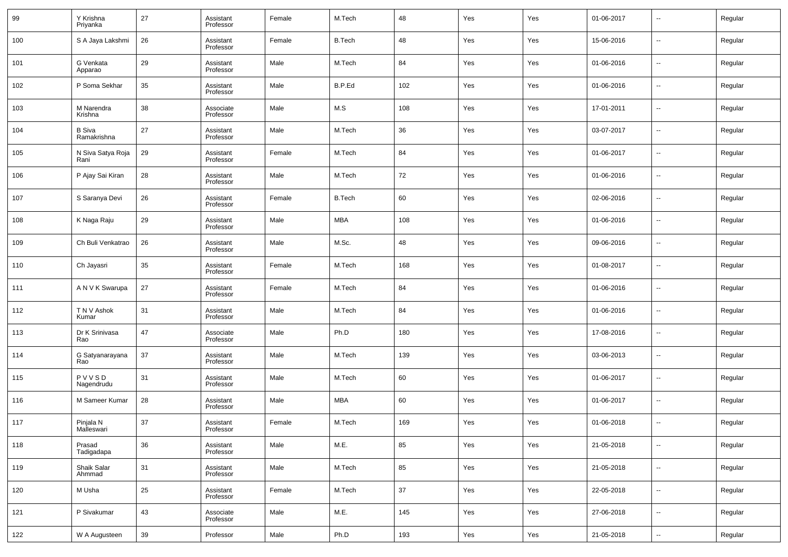| 99  | Y Krishna<br>Priyanka        | 27 | Assistant<br>Professor | Female | M.Tech        | 48  | Yes | Yes | 01-06-2017 | $\overline{\phantom{a}}$ | Regular |
|-----|------------------------------|----|------------------------|--------|---------------|-----|-----|-----|------------|--------------------------|---------|
| 100 | S A Jaya Lakshmi             | 26 | Assistant<br>Professor | Female | <b>B.Tech</b> | 48  | Yes | Yes | 15-06-2016 | $\overline{\phantom{a}}$ | Regular |
| 101 | G Venkata<br>Apparao         | 29 | Assistant<br>Professor | Male   | M.Tech        | 84  | Yes | Yes | 01-06-2016 | $\overline{\phantom{a}}$ | Regular |
| 102 | P Soma Sekhar                | 35 | Assistant<br>Professor | Male   | B.P.Ed        | 102 | Yes | Yes | 01-06-2016 | $\overline{\phantom{a}}$ | Regular |
| 103 | M Narendra<br>Krishna        | 38 | Associate<br>Professor | Male   | M.S           | 108 | Yes | Yes | 17-01-2011 | $\ddotsc$                | Regular |
| 104 | <b>B</b> Siva<br>Ramakrishna | 27 | Assistant<br>Professor | Male   | M.Tech        | 36  | Yes | Yes | 03-07-2017 | $\ddotsc$                | Regular |
| 105 | N Siva Satya Roja<br>Rani    | 29 | Assistant<br>Professor | Female | M.Tech        | 84  | Yes | Yes | 01-06-2017 | $\ddotsc$                | Regular |
| 106 | P Ajay Sai Kiran             | 28 | Assistant<br>Professor | Male   | M.Tech        | 72  | Yes | Yes | 01-06-2016 | $\overline{\phantom{a}}$ | Regular |
| 107 | S Saranya Devi               | 26 | Assistant<br>Professor | Female | <b>B.Tech</b> | 60  | Yes | Yes | 02-06-2016 | $\overline{\phantom{a}}$ | Regular |
| 108 | K Naga Raju                  | 29 | Assistant<br>Professor | Male   | <b>MBA</b>    | 108 | Yes | Yes | 01-06-2016 | $\overline{\phantom{a}}$ | Regular |
| 109 | Ch Buli Venkatrao            | 26 | Assistant<br>Professor | Male   | M.Sc.         | 48  | Yes | Yes | 09-06-2016 | $\overline{\phantom{a}}$ | Regular |
| 110 | Ch Jayasri                   | 35 | Assistant<br>Professor | Female | M.Tech        | 168 | Yes | Yes | 01-08-2017 | $\ddotsc$                | Regular |
| 111 | A N V K Swarupa              | 27 | Assistant<br>Professor | Female | M.Tech        | 84  | Yes | Yes | 01-06-2016 | $\overline{\phantom{a}}$ | Regular |
| 112 | T N V Ashok<br>Kumar         | 31 | Assistant<br>Professor | Male   | M.Tech        | 84  | Yes | Yes | 01-06-2016 | $\ddotsc$                | Regular |
| 113 | Dr K Srinivasa<br>Rao        | 47 | Associate<br>Professor | Male   | Ph.D          | 180 | Yes | Yes | 17-08-2016 | $\overline{\phantom{a}}$ | Regular |
| 114 | G Satyanarayana<br>Rao       | 37 | Assistant<br>Professor | Male   | M.Tech        | 139 | Yes | Yes | 03-06-2013 | $\overline{\phantom{a}}$ | Regular |
| 115 | PVVSD<br>Nagendrudu          | 31 | Assistant<br>Professor | Male   | M.Tech        | 60  | Yes | Yes | 01-06-2017 | $\ddotsc$                | Regular |
| 116 | M Sameer Kumar               | 28 | Assistant<br>Professor | Male   | <b>MBA</b>    | 60  | Yes | Yes | 01-06-2017 | $\overline{\phantom{a}}$ | Regular |
| 117 | Pinjala N<br>Malleswari      | 37 | Assistant<br>Professor | Female | M.Tech        | 169 | Yes | Yes | 01-06-2018 | $\overline{\phantom{a}}$ | Regular |
| 118 | Prasad<br>Tadigadapa         | 36 | Assistant<br>Professor | Male   | M.E.          | 85  | Yes | Yes | 21-05-2018 | $\overline{\phantom{a}}$ | Regular |
| 119 | Shaik Salar<br>Ahmmad        | 31 | Assistant<br>Professor | Male   | M.Tech        | 85  | Yes | Yes | 21-05-2018 | $\sim$                   | Regular |
| 120 | M Usha                       | 25 | Assistant<br>Professor | Female | M.Tech        | 37  | Yes | Yes | 22-05-2018 | $\sim$                   | Regular |
| 121 | P Sivakumar                  | 43 | Associate<br>Professor | Male   | M.E.          | 145 | Yes | Yes | 27-06-2018 | $\sim$                   | Regular |
| 122 | W A Augusteen                | 39 | Professor              | Male   | Ph.D          | 193 | Yes | Yes | 21-05-2018 | $\overline{\phantom{a}}$ | Regular |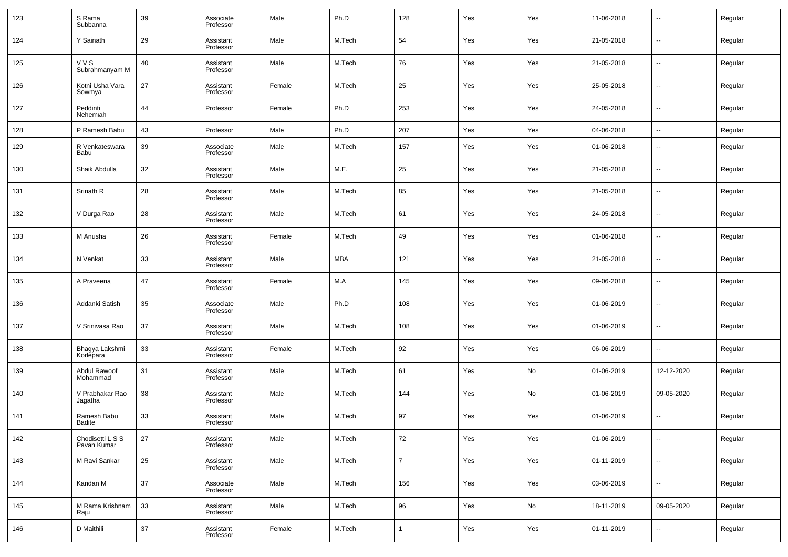| 123 | S Rama<br>Subbanna              | 39 | Associate<br>Professor | Male   | Ph.D       | 128            | Yes | Yes | 11-06-2018 | $\overline{\phantom{a}}$ | Regular |
|-----|---------------------------------|----|------------------------|--------|------------|----------------|-----|-----|------------|--------------------------|---------|
| 124 | Y Sainath                       | 29 | Assistant<br>Professor | Male   | M.Tech     | 54             | Yes | Yes | 21-05-2018 | ۰.                       | Regular |
| 125 | <b>VVS</b><br>Subrahmanyam M    | 40 | Assistant<br>Professor | Male   | M.Tech     | 76             | Yes | Yes | 21-05-2018 | $\sim$                   | Regular |
| 126 | Kotni Usha Vara<br>Sowmya       | 27 | Assistant<br>Professor | Female | M.Tech     | 25             | Yes | Yes | 25-05-2018 | ۰.                       | Regular |
| 127 | Peddinti<br>Nehemiah            | 44 | Professor              | Female | Ph.D       | 253            | Yes | Yes | 24-05-2018 | $\ddotsc$                | Regular |
| 128 | P Ramesh Babu                   | 43 | Professor              | Male   | Ph.D       | 207            | Yes | Yes | 04-06-2018 | $\sim$                   | Regular |
| 129 | R Venkateswara<br>Babu          | 39 | Associate<br>Professor | Male   | M.Tech     | 157            | Yes | Yes | 01-06-2018 | $\sim$                   | Regular |
| 130 | Shaik Abdulla                   | 32 | Assistant<br>Professor | Male   | M.E.       | 25             | Yes | Yes | 21-05-2018 | --                       | Regular |
| 131 | Srinath R                       | 28 | Assistant<br>Professor | Male   | M.Tech     | 85             | Yes | Yes | 21-05-2018 | $\sim$                   | Regular |
| 132 | V Durga Rao                     | 28 | Assistant<br>Professor | Male   | M.Tech     | 61             | Yes | Yes | 24-05-2018 | $\overline{\phantom{a}}$ | Regular |
| 133 | M Anusha                        | 26 | Assistant<br>Professor | Female | M.Tech     | 49             | Yes | Yes | 01-06-2018 | ۰.                       | Regular |
| 134 | N Venkat                        | 33 | Assistant<br>Professor | Male   | <b>MBA</b> | 121            | Yes | Yes | 21-05-2018 | $\overline{\phantom{a}}$ | Regular |
| 135 | A Praveena                      | 47 | Assistant<br>Professor | Female | M.A        | 145            | Yes | Yes | 09-06-2018 | ۰.                       | Regular |
| 136 | Addanki Satish                  | 35 | Associate<br>Professor | Male   | Ph.D       | 108            | Yes | Yes | 01-06-2019 | $\overline{\phantom{a}}$ | Regular |
| 137 | V Srinivasa Rao                 | 37 | Assistant<br>Professor | Male   | M.Tech     | 108            | Yes | Yes | 01-06-2019 | --                       | Regular |
| 138 | Bhagya Lakshmi<br>Korlepara     | 33 | Assistant<br>Professor | Female | M.Tech     | 92             | Yes | Yes | 06-06-2019 | $\sim$                   | Regular |
| 139 | Abdul Rawoof<br>Mohammad        | 31 | Assistant<br>Professor | Male   | M.Tech     | 61             | Yes | No  | 01-06-2019 | 12-12-2020               | Regular |
| 140 | V Prabhakar Rao<br>Jagatha      | 38 | Assistant<br>Professor | Male   | M.Tech     | 144            | Yes | No  | 01-06-2019 | 09-05-2020               | Regular |
| 141 | Ramesh Babu<br><b>Badite</b>    | 33 | Assistant<br>Professor | Male   | M.Tech     | 97             | Yes | Yes | 01-06-2019 | $\overline{\phantom{a}}$ | Regular |
| 142 | Chodisetti L S S<br>Pavan Kumar | 27 | Assistant<br>Professor | Male   | M.Tech     | 72             | Yes | Yes | 01-06-2019 | $\sim$                   | Regular |
| 143 | M Ravi Sankar                   | 25 | Assistant<br>Professor | Male   | M.Tech     | $\overline{7}$ | Yes | Yes | 01-11-2019 | $\overline{\phantom{a}}$ | Regular |
| 144 | Kandan M                        | 37 | Associate<br>Professor | Male   | M.Tech     | 156            | Yes | Yes | 03-06-2019 | $\overline{\phantom{a}}$ | Regular |
| 145 | M Rama Krishnam<br>Raju         | 33 | Assistant<br>Professor | Male   | M.Tech     | 96             | Yes | No  | 18-11-2019 | 09-05-2020               | Regular |
| 146 | D Maithili                      | 37 | Assistant<br>Professor | Female | M.Tech     |                | Yes | Yes | 01-11-2019 | ⊷                        | Regular |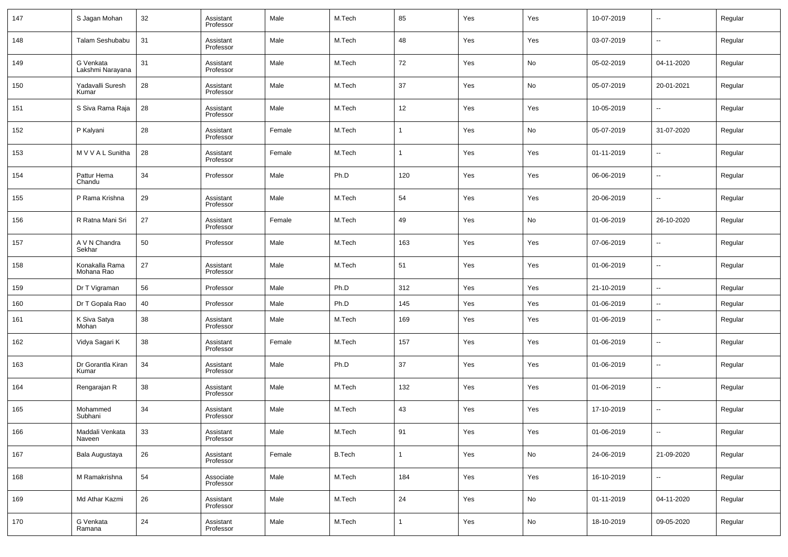| 147 | S Jagan Mohan                 | 32 | Assistant<br>Professor | Male   | M.Tech        | 85           | Yes | Yes | 10-07-2019 | $\overline{\phantom{a}}$ | Regular |
|-----|-------------------------------|----|------------------------|--------|---------------|--------------|-----|-----|------------|--------------------------|---------|
| 148 | Talam Seshubabu               | 31 | Assistant<br>Professor | Male   | M.Tech        | 48           | Yes | Yes | 03-07-2019 | $\overline{\phantom{a}}$ | Regular |
| 149 | G Venkata<br>Lakshmi Narayana | 31 | Assistant<br>Professor | Male   | M.Tech        | 72           | Yes | No  | 05-02-2019 | 04-11-2020               | Regular |
| 150 | Yadavalli Suresh<br>Kumar     | 28 | Assistant<br>Professor | Male   | M.Tech        | 37           | Yes | No  | 05-07-2019 | 20-01-2021               | Regular |
| 151 | S Siva Rama Raja              | 28 | Assistant<br>Professor | Male   | M.Tech        | 12           | Yes | Yes | 10-05-2019 | $\overline{\phantom{a}}$ | Regular |
| 152 | P Kalyani                     | 28 | Assistant<br>Professor | Female | M.Tech        | $\mathbf{1}$ | Yes | No  | 05-07-2019 | 31-07-2020               | Regular |
| 153 | MVVAL Sunitha                 | 28 | Assistant<br>Professor | Female | M.Tech        | 1            | Yes | Yes | 01-11-2019 | $\overline{\phantom{a}}$ | Regular |
| 154 | Pattur Hema<br>Chandu         | 34 | Professor              | Male   | Ph.D          | 120          | Yes | Yes | 06-06-2019 | $\overline{\phantom{a}}$ | Regular |
| 155 | P Rama Krishna                | 29 | Assistant<br>Professor | Male   | M.Tech        | 54           | Yes | Yes | 20-06-2019 | $\overline{\phantom{a}}$ | Regular |
| 156 | R Ratna Mani Sri              | 27 | Assistant<br>Professor | Female | M.Tech        | 49           | Yes | No  | 01-06-2019 | 26-10-2020               | Regular |
| 157 | A V N Chandra<br>Sekhar       | 50 | Professor              | Male   | M.Tech        | 163          | Yes | Yes | 07-06-2019 | $\overline{\phantom{a}}$ | Regular |
| 158 | Konakalla Rama<br>Mohana Rao  | 27 | Assistant<br>Professor | Male   | M.Tech        | 51           | Yes | Yes | 01-06-2019 | $\overline{\phantom{a}}$ | Regular |
| 159 | Dr T Vigraman                 | 56 | Professor              | Male   | Ph.D          | 312          | Yes | Yes | 21-10-2019 | $\overline{\phantom{a}}$ | Regular |
| 160 | Dr T Gopala Rao               | 40 | Professor              | Male   | Ph.D          | 145          | Yes | Yes | 01-06-2019 | $\overline{\phantom{a}}$ | Regular |
| 161 | K Siva Satya<br>Mohan         | 38 | Assistant<br>Professor | Male   | M.Tech        | 169          | Yes | Yes | 01-06-2019 | $\sim$                   | Regular |
| 162 | Vidya Sagari K                | 38 | Assistant<br>Professor | Female | M.Tech        | 157          | Yes | Yes | 01-06-2019 | $\overline{\phantom{a}}$ | Regular |
| 163 | Dr Gorantla Kiran<br>Kumar    | 34 | Assistant<br>Professor | Male   | Ph.D          | 37           | Yes | Yes | 01-06-2019 | $\overline{\phantom{a}}$ | Regular |
| 164 | Rengarajan R                  | 38 | Assistant<br>Professor | Male   | M.Tech        | 132          | Yes | Yes | 01-06-2019 | $\ddotsc$                | Regular |
| 165 | Mohammed<br>Subhani           | 34 | Assistant<br>Professor | Male   | M.Tech        | 43           | Yes | Yes | 17-10-2019 | $\overline{\phantom{a}}$ | Regular |
| 166 | Maddali Venkata<br>Naveen     | 33 | Assistant<br>Professor | Male   | M.Tech        | 91           | Yes | Yes | 01-06-2019 | $\overline{\phantom{a}}$ | Regular |
| 167 | Bala Augustaya                | 26 | Assistant<br>Professor | Female | <b>B.Tech</b> | 1            | Yes | No  | 24-06-2019 | 21-09-2020               | Regular |
| 168 | M Ramakrishna                 | 54 | Associate<br>Professor | Male   | M.Tech        | 184          | Yes | Yes | 16-10-2019 | $\overline{\phantom{a}}$ | Regular |
| 169 | Md Athar Kazmi                | 26 | Assistant<br>Professor | Male   | M.Tech        | 24           | Yes | No  | 01-11-2019 | 04-11-2020               | Regular |
| 170 | G Venkata<br>Ramana           | 24 | Assistant<br>Professor | Male   | M.Tech        | 1            | Yes | No  | 18-10-2019 | 09-05-2020               | Regular |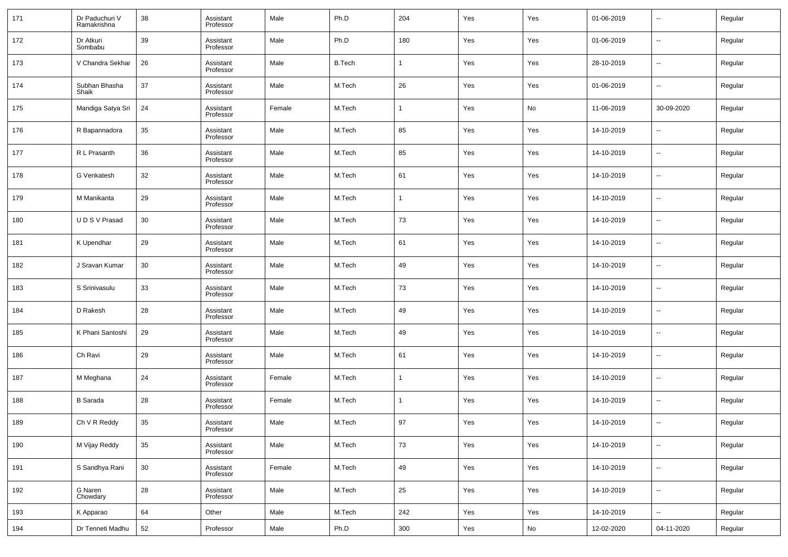| 171 | Dr Paduchuri V<br>Ramakrishna | 38 | Assistant<br>Professor | Male   | Ph.D          | 204            | Yes | Yes | 01-06-2019 | $\overline{\phantom{a}}$ | Regular |
|-----|-------------------------------|----|------------------------|--------|---------------|----------------|-----|-----|------------|--------------------------|---------|
| 172 | Dr Atkuri<br>Sombabu          | 39 | Assistant<br>Professor | Male   | Ph.D          | 180            | Yes | Yes | 01-06-2019 | $\overline{\phantom{a}}$ | Regular |
| 173 | V Chandra Sekhar              | 26 | Assistant<br>Professor | Male   | <b>B.Tech</b> | -1             | Yes | Yes | 28-10-2019 | $\overline{\phantom{a}}$ | Regular |
| 174 | Subhan Bhasha<br>Shaik        | 37 | Assistant<br>Professor | Male   | M.Tech        | 26             | Yes | Yes | 01-06-2019 | --                       | Regular |
| 175 | Mandiga Satya Sri             | 24 | Assistant<br>Professor | Female | M.Tech        | $\mathbf 1$    | Yes | No  | 11-06-2019 | 30-09-2020               | Regular |
| 176 | R Bapannadora                 | 35 | Assistant<br>Professor | Male   | M.Tech        | 85             | Yes | Yes | 14-10-2019 | --                       | Regular |
| 177 | R L Prasanth                  | 36 | Assistant<br>Professor | Male   | M.Tech        | 85             | Yes | Yes | 14-10-2019 | $\overline{\phantom{a}}$ | Regular |
| 178 | G Venkatesh                   | 32 | Assistant<br>Professor | Male   | M.Tech        | 61             | Yes | Yes | 14-10-2019 | $\overline{\phantom{a}}$ | Regular |
| 179 | M Manikanta                   | 29 | Assistant<br>Professor | Male   | M.Tech        | $\mathbf 1$    | Yes | Yes | 14-10-2019 | --                       | Regular |
| 180 | UDS V Prasad                  | 30 | Assistant<br>Professor | Male   | M.Tech        | 73             | Yes | Yes | 14-10-2019 | $\overline{\phantom{a}}$ | Regular |
| 181 | K Upendhar                    | 29 | Assistant<br>Professor | Male   | M.Tech        | 61             | Yes | Yes | 14-10-2019 | $\overline{\phantom{a}}$ | Regular |
| 182 | J Sravan Kumar                | 30 | Assistant<br>Professor | Male   | M.Tech        | 49             | Yes | Yes | 14-10-2019 | $\overline{\phantom{a}}$ | Regular |
| 183 | S Srinivasulu                 | 33 | Assistant<br>Professor | Male   | M.Tech        | 73             | Yes | Yes | 14-10-2019 | $\overline{\phantom{a}}$ | Regular |
| 184 | D Rakesh                      | 28 | Assistant<br>Professor | Male   | M.Tech        | 49             | Yes | Yes | 14-10-2019 | --                       | Regular |
| 185 | K Phani Santoshi              | 29 | Assistant<br>Professor | Male   | M.Tech        | 49             | Yes | Yes | 14-10-2019 | $\overline{\phantom{a}}$ | Regular |
| 186 | Ch Ravi                       | 29 | Assistant<br>Professor | Male   | M.Tech        | 61             | Yes | Yes | 14-10-2019 | $\overline{\phantom{a}}$ | Regular |
| 187 | M Meghana                     | 24 | Assistant<br>Professor | Female | M.Tech        | $\overline{1}$ | Yes | Yes | 14-10-2019 | $\overline{\phantom{a}}$ | Regular |
| 188 | <b>B</b> Sarada               | 28 | Assistant<br>Professor | Female | M.Tech        | $\overline{1}$ | Yes | Yes | 14-10-2019 | $\overline{\phantom{a}}$ | Regular |
| 189 | Ch V R Reddy                  | 35 | Assistant<br>Professor | Male   | M.Tech        | 97             | Yes | Yes | 14-10-2019 | $\sim$                   | Regular |
| 190 | M Vijay Reddy                 | 35 | Assistant<br>Professor | Male   | M.Tech        | 73             | Yes | Yes | 14-10-2019 | $\overline{\phantom{a}}$ | Regular |
| 191 | S Sandhya Rani                | 30 | Assistant<br>Professor | Female | M.Tech        | 49             | Yes | Yes | 14-10-2019 | $\overline{\phantom{a}}$ | Regular |
| 192 | G Naren<br>Chowdary           | 28 | Assistant<br>Professor | Male   | M.Tech        | 25             | Yes | Yes | 14-10-2019 | $\overline{\phantom{a}}$ | Regular |
| 193 | K Apparao                     | 64 | Other                  | Male   | M.Tech        | 242            | Yes | Yes | 14-10-2019 | $\overline{\phantom{a}}$ | Regular |
| 194 | Dr Tenneti Madhu              | 52 | Professor              | Male   | Ph.D          | 300            | Yes | No  | 12-02-2020 | 04-11-2020               | Regular |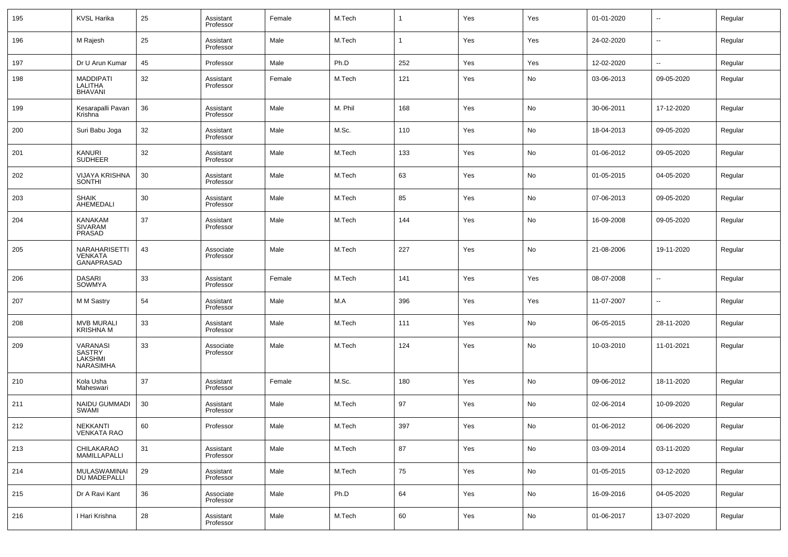| 195 | <b>KVSL Harika</b>                                | 25 | Assistant<br>Professor | Female | M.Tech  | 1   | Yes | Yes | 01-01-2020 | $\overline{\phantom{a}}$ | Regular |
|-----|---------------------------------------------------|----|------------------------|--------|---------|-----|-----|-----|------------|--------------------------|---------|
| 196 | M Rajesh                                          | 25 | Assistant<br>Professor | Male   | M.Tech  | 1   | Yes | Yes | 24-02-2020 | $\overline{\phantom{a}}$ | Regular |
| 197 | Dr U Arun Kumar                                   | 45 | Professor              | Male   | Ph.D    | 252 | Yes | Yes | 12-02-2020 | $\overline{\phantom{a}}$ | Regular |
| 198 | <b>MADDIPATI</b><br>LALITHA<br><b>BHAVANI</b>     | 32 | Assistant<br>Professor | Female | M.Tech  | 121 | Yes | No  | 03-06-2013 | 09-05-2020               | Regular |
| 199 | Kesarapalli Pavan<br>Krishna                      | 36 | Assistant<br>Professor | Male   | M. Phil | 168 | Yes | No  | 30-06-2011 | 17-12-2020               | Regular |
| 200 | Suri Babu Joga                                    | 32 | Assistant<br>Professor | Male   | M.Sc.   | 110 | Yes | No  | 18-04-2013 | 09-05-2020               | Regular |
| 201 | KANURI<br><b>SUDHEER</b>                          | 32 | Assistant<br>Professor | Male   | M.Tech  | 133 | Yes | No  | 01-06-2012 | 09-05-2020               | Regular |
| 202 | <b>VIJAYA KRISHNA</b><br>SONTHI                   | 30 | Assistant<br>Professor | Male   | M.Tech  | 63  | Yes | No  | 01-05-2015 | 04-05-2020               | Regular |
| 203 | <b>SHAIK</b><br>AHEMEDALI                         | 30 | Assistant<br>Professor | Male   | M.Tech  | 85  | Yes | No  | 07-06-2013 | 09-05-2020               | Regular |
| 204 | <b>KANAKAM</b><br><b>SIVARAM</b><br><b>PRASAD</b> | 37 | Assistant<br>Professor | Male   | M.Tech  | 144 | Yes | No  | 16-09-2008 | 09-05-2020               | Regular |
| 205 | NARAHARISETTI<br><b>VENKATA</b><br>GANAPRASAD     | 43 | Associate<br>Professor | Male   | M.Tech  | 227 | Yes | No  | 21-08-2006 | 19-11-2020               | Regular |
| 206 | <b>DASARI</b><br>SOWMYA                           | 33 | Assistant<br>Professor | Female | M.Tech  | 141 | Yes | Yes | 08-07-2008 | $\overline{\phantom{a}}$ | Regular |
| 207 | M M Sastry                                        | 54 | Assistant<br>Professor | Male   | M.A     | 396 | Yes | Yes | 11-07-2007 | $\overline{\phantom{a}}$ | Regular |
| 208 | <b>MVB MURALI</b><br><b>KRISHNA M</b>             | 33 | Assistant<br>Professor | Male   | M.Tech  | 111 | Yes | No  | 06-05-2015 | 28-11-2020               | Regular |
| 209 | VARANASI<br><b>SASTRY</b><br>LAKSHMI<br>NARASIMHA | 33 | Associate<br>Professor | Male   | M.Tech  | 124 | Yes | No  | 10-03-2010 | 11-01-2021               | Regular |
| 210 | Kola Usha<br>Maheswari                            | 37 | Assistant<br>Professor | Female | M.Sc.   | 180 | Yes | No  | 09-06-2012 | 18-11-2020               | Regular |
| 211 | NAIDU GUMMADI<br>SWAMI                            | 30 | Assistant<br>Professor | Male   | M.Tech  | 97  | Yes | No  | 02-06-2014 | 10-09-2020               | Regular |
| 212 | <b>NEKKANTI</b><br><b>VENKATA RAO</b>             | 60 | Professor              | Male   | M.Tech  | 397 | Yes | No  | 01-06-2012 | 06-06-2020               | Regular |
| 213 | CHILAKARAO<br>MAMILLAPALLI                        | 31 | Assistant<br>Professor | Male   | M.Tech  | 87  | Yes | No  | 03-09-2014 | 03-11-2020               | Regular |
| 214 | MULASWAMINAI<br>DU MADEPALLI                      | 29 | Assistant<br>Professor | Male   | M.Tech  | 75  | Yes | No  | 01-05-2015 | 03-12-2020               | Regular |
| 215 | Dr A Ravi Kant                                    | 36 | Associate<br>Professor | Male   | Ph.D    | 64  | Yes | No  | 16-09-2016 | 04-05-2020               | Regular |
| 216 | I Hari Krishna                                    | 28 | Assistant<br>Professor | Male   | M.Tech  | 60  | Yes | No  | 01-06-2017 | 13-07-2020               | Regular |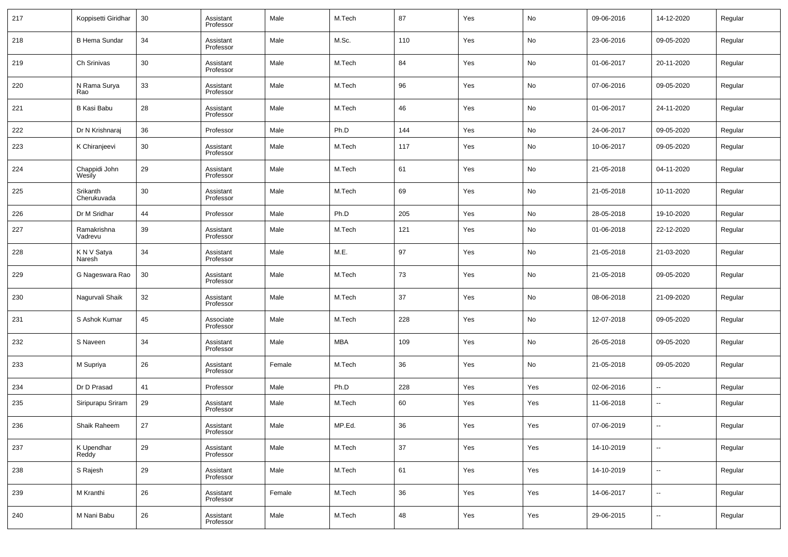| 217 | Koppisetti Giridhar     | 30 | Assistant<br>Professor | Male   | M.Tech     | 87  | Yes | No  | 09-06-2016 | 14-12-2020               | Regular |
|-----|-------------------------|----|------------------------|--------|------------|-----|-----|-----|------------|--------------------------|---------|
| 218 | <b>B Hema Sundar</b>    | 34 | Assistant<br>Professor | Male   | M.Sc.      | 110 | Yes | No  | 23-06-2016 | 09-05-2020               | Regular |
| 219 | Ch Srinivas             | 30 | Assistant<br>Professor | Male   | M.Tech     | 84  | Yes | No  | 01-06-2017 | 20-11-2020               | Regular |
| 220 | N Rama Surya<br>Rao     | 33 | Assistant<br>Professor | Male   | M.Tech     | 96  | Yes | No  | 07-06-2016 | 09-05-2020               | Regular |
| 221 | <b>B Kasi Babu</b>      | 28 | Assistant<br>Professor | Male   | M.Tech     | 46  | Yes | No  | 01-06-2017 | 24-11-2020               | Regular |
| 222 | Dr N Krishnaraj         | 36 | Professor              | Male   | Ph.D       | 144 | Yes | No  | 24-06-2017 | 09-05-2020               | Regular |
| 223 | K Chiranjeevi           | 30 | Assistant<br>Professor | Male   | M.Tech     | 117 | Yes | No  | 10-06-2017 | 09-05-2020               | Regular |
| 224 | Chappidi John<br>Wesily | 29 | Assistant<br>Professor | Male   | M.Tech     | 61  | Yes | No  | 21-05-2018 | 04-11-2020               | Regular |
| 225 | Srikanth<br>Cherukuvada | 30 | Assistant<br>Professor | Male   | M.Tech     | 69  | Yes | No  | 21-05-2018 | 10-11-2020               | Regular |
| 226 | Dr M Sridhar            | 44 | Professor              | Male   | Ph.D       | 205 | Yes | No  | 28-05-2018 | 19-10-2020               | Regular |
| 227 | Ramakrishna<br>Vadrevu  | 39 | Assistant<br>Professor | Male   | M.Tech     | 121 | Yes | No  | 01-06-2018 | 22-12-2020               | Regular |
| 228 | K N V Satya<br>Naresh   | 34 | Assistant<br>Professor | Male   | M.E.       | 97  | Yes | No  | 21-05-2018 | 21-03-2020               | Regular |
| 229 | G Nageswara Rao         | 30 | Assistant<br>Professor | Male   | M.Tech     | 73  | Yes | No  | 21-05-2018 | 09-05-2020               | Regular |
| 230 | Nagurvali Shaik         | 32 | Assistant<br>Professor | Male   | M.Tech     | 37  | Yes | No  | 08-06-2018 | 21-09-2020               | Regular |
| 231 | S Ashok Kumar           | 45 | Associate<br>Professor | Male   | M.Tech     | 228 | Yes | No  | 12-07-2018 | 09-05-2020               | Regular |
| 232 | S Naveen                | 34 | Assistant<br>Professor | Male   | <b>MBA</b> | 109 | Yes | No  | 26-05-2018 | 09-05-2020               | Regular |
| 233 | M Supriya               | 26 | Assistant<br>Professor | Female | M.Tech     | 36  | Yes | No  | 21-05-2018 | 09-05-2020               | Regular |
| 234 | Dr D Prasad             | 41 | Professor              | Male   | Ph.D       | 228 | Yes | Yes | 02-06-2016 | $\sim$                   | Regular |
| 235 | Siripurapu Sriram       | 29 | Assistant<br>Professor | Male   | M.Tech     | 60  | Yes | Yes | 11-06-2018 | $\overline{\phantom{a}}$ | Regular |
| 236 | Shaik Raheem            | 27 | Assistant<br>Professor | Male   | MP.Ed.     | 36  | Yes | Yes | 07-06-2019 |                          | Regular |
| 237 | K Upendhar<br>Reddy     | 29 | Assistant<br>Professor | Male   | M.Tech     | 37  | Yes | Yes | 14-10-2019 | $\overline{\phantom{a}}$ | Regular |
| 238 | S Rajesh                | 29 | Assistant<br>Professor | Male   | M.Tech     | 61  | Yes | Yes | 14-10-2019 | $\overline{\phantom{a}}$ | Regular |
| 239 | M Kranthi               | 26 | Assistant<br>Professor | Female | M.Tech     | 36  | Yes | Yes | 14-06-2017 | $\ddotsc$                | Regular |
| 240 | M Nani Babu             | 26 | Assistant<br>Professor | Male   | M.Tech     | 48  | Yes | Yes | 29-06-2015 | $\sim$                   | Regular |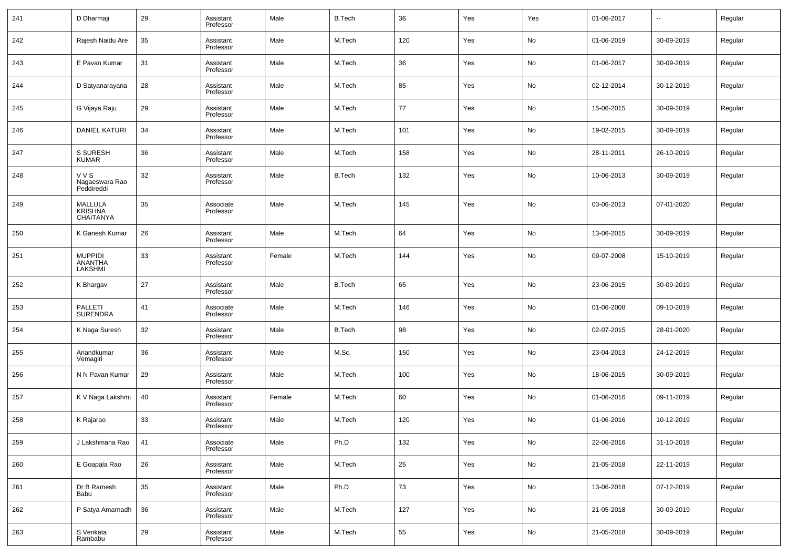| 241 | D Dharmaji                                    | 29 | Assistant<br>Professor | Male   | <b>B.Tech</b> | 36     | Yes | Yes | 01-06-2017 | $\overline{\phantom{a}}$ | Regular |
|-----|-----------------------------------------------|----|------------------------|--------|---------------|--------|-----|-----|------------|--------------------------|---------|
| 242 | Rajesh Naidu Are                              | 35 | Assistant<br>Professor | Male   | M.Tech        | 120    | Yes | No  | 01-06-2019 | 30-09-2019               | Regular |
| 243 | E Pavan Kumar                                 | 31 | Assistant<br>Professor | Male   | M.Tech        | 36     | Yes | No  | 01-06-2017 | 30-09-2019               | Regular |
| 244 | D Satyanarayana                               | 28 | Assistant<br>Professor | Male   | M.Tech        | 85     | Yes | No  | 02-12-2014 | 30-12-2019               | Regular |
| 245 | G Vijaya Raju                                 | 29 | Assistant<br>Professor | Male   | M.Tech        | 77     | Yes | No  | 15-06-2015 | 30-09-2019               | Regular |
| 246 | DANIEL KATURI                                 | 34 | Assistant<br>Professor | Male   | M.Tech        | 101    | Yes | No  | 19-02-2015 | 30-09-2019               | Regular |
| 247 | S SURESH<br><b>KUMAR</b>                      | 36 | Assistant<br>Professor | Male   | M.Tech        | 158    | Yes | No  | 28-11-2011 | 26-10-2019               | Regular |
| 248 | <b>VVS</b><br>Nagaeswara Rao<br>Peddireddi    | 32 | Assistant<br>Professor | Male   | <b>B.Tech</b> | 132    | Yes | No  | 10-06-2013 | 30-09-2019               | Regular |
| 249 | <b>MALLULA</b><br><b>KRISHNA</b><br>CHAITANYA | 35 | Associate<br>Professor | Male   | M.Tech        | 145    | Yes | No  | 03-06-2013 | 07-01-2020               | Regular |
| 250 | K Ganesh Kumar                                | 26 | Assistant<br>Professor | Male   | M.Tech        | 64     | Yes | No  | 13-06-2015 | 30-09-2019               | Regular |
| 251 | <b>MUPPIDI</b><br><b>ANANTHA</b><br>LAKSHMI   | 33 | Assistant<br>Professor | Female | M.Tech        | 144    | Yes | No  | 09-07-2008 | 15-10-2019               | Regular |
| 252 | K Bhargav                                     | 27 | Assistant<br>Professor | Male   | <b>B.Tech</b> | 65     | Yes | No  | 23-06-2015 | 30-09-2019               | Regular |
| 253 | PALLETI<br><b>SURENDRA</b>                    | 41 | Associate<br>Professor | Male   | M.Tech        | 146    | Yes | No  | 01-06-2008 | 09-10-2019               | Regular |
| 254 | K Naga Suresh                                 | 32 | Assistant<br>Professor | Male   | <b>B.Tech</b> | 98     | Yes | No  | 02-07-2015 | 28-01-2020               | Regular |
| 255 | Anandkumar<br>Vemagiri                        | 36 | Assistant<br>Professor | Male   | M.Sc.         | 150    | Yes | No  | 23-04-2013 | 24-12-2019               | Regular |
| 256 | N N Pavan Kumar                               | 29 | Assistant<br>Professor | Male   | M.Tech        | 100    | Yes | No  | 18-06-2015 | 30-09-2019               | Regular |
| 257 | K V Naga Lakshmi                              | 40 | Assistant<br>Professor | Female | M.Tech        | 60     | Yes | No  | 01-06-2016 | 09-11-2019               | Regular |
| 258 | K Rajarao                                     | 33 | Assistant<br>Professor | Male   | M.Tech        | 120    | Yes | No  | 01-06-2016 | 10-12-2019               | Regular |
| 259 | J Lakshmana Rao                               | 41 | Associate<br>Professor | Male   | Ph.D          | 132    | Yes | No  | 22-06-2016 | 31-10-2019               | Regular |
| 260 | E Goapala Rao                                 | 26 | Assistant<br>Professor | Male   | M.Tech        | 25     | Yes | No  | 21-05-2018 | 22-11-2019               | Regular |
| 261 | Dr B Ramesh<br>Babu                           | 35 | Assistant<br>Professor | Male   | Ph.D          | $73\,$ | Yes | No  | 13-06-2018 | 07-12-2019               | Regular |
| 262 | P Satya Amarnadh                              | 36 | Assistant<br>Professor | Male   | M.Tech        | 127    | Yes | No  | 21-05-2018 | 30-09-2019               | Regular |
| 263 | S Venkata<br>Rambabu                          | 29 | Assistant<br>Professor | Male   | M.Tech        | 55     | Yes | No  | 21-05-2018 | 30-09-2019               | Regular |